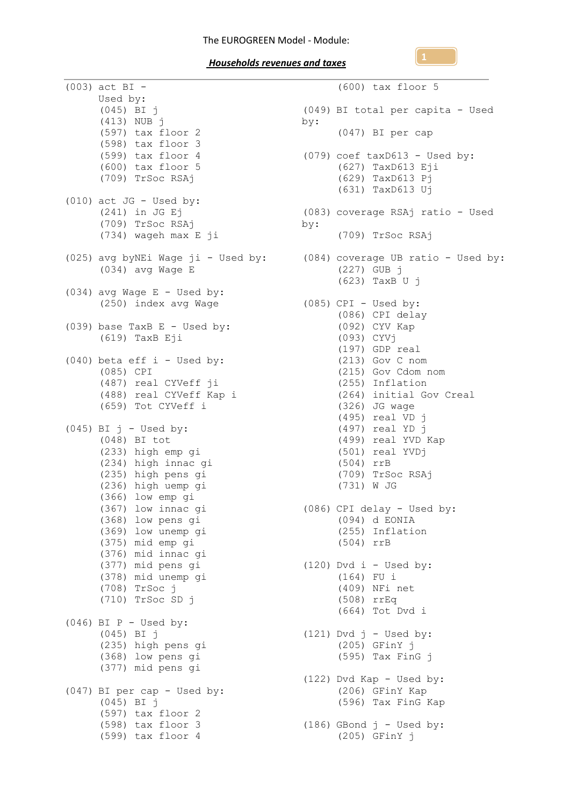(003) act BI - Used by: (045) BI j (413) NUB j (597) tax floor 2 (598) tax floor 3 (599) tax floor 4 (600) tax floor 5 (709) TrSoc RSAj (010) act JG - Used by: (241) in JG Ej  $(709)$  TrSoc RSAj (734) wageh max E ji (034) avg Wage E  $(034)$  avg Wage E - Used by: (250) index avg Wage (039) base TaxB E - Used by: (619) TaxB Eji (040) beta eff i - Used by: (085) CPI (487) real CYVeff ji (488) real CYVeff Kap i (659) Tot CYVeff i  $(045)$  BI j - Used by: (048) BI tot (233) high emp gi (234) high innac gi (235) high pens gi (236) high uemp gi (366) low emp gi (367) low innac gi (368) low pens gi (369) low unemp gi (375) mid emp gi (376) mid innac gi (377) mid pens gi (378) mid unemp gi (708) TrSoc j (710) TrSoc SD j  $(046)$  BI P - Used by: (045) BI j (235) high pens gi (368) low pens gi (377) mid pens gi (047) BI per cap - Used by: (045) BI j (597) tax floor 2 (598) tax floor 3 (599) tax floor 4

```
(025) avg byNEi Wage ji - Used by:
(084) coverage UB ratio - Used by:
                                           (600) tax floor 5
                                      (049) BI total per capita - Used 
                                      by:
                                            (047) BI per cap
                                 (079) coef taxD613 - Used by:
                                            (627) TaxD613 Eji
                                            (629) TaxD613 Pj
                                            (631) TaxD613 Uj
                                     (083) coverage RSAj ratio - Used 
                                      by:
                                            (709) TrSoc RSAj
                                            (227) GUB j
                                            (623) TaxB U j
                                    (085) CPI - Used by:
                                           (086) CPI delay
                                            (092) CYV Kap
                                            (093) CYVj
                                           (197) GDP real
                                           (213) Gov C nom
                                           (215) Gov Cdom nom
                                           (255) Inflation
                                           (264) initial Gov Creal
                                           (326) JG wage
                                           (495) real VD j
                                           (497) real YD j
                                            (499) real YVD Kap
                                            (501) real YVDj
                                           (504) rrB
                                            (709) TrSoc RSAj
                                            (731) W JG
                             (086) CPI delay - Used by:
                                            (094) d EONIA
                                            (255) Inflation
                                            (504) rrB
                                     (120) Dvd i - Used by:
                                            (164) FU i
                                            (409) NFi net
                                            (508) rrEq
                                            (664) Tot Dvd i
                                     (121) Dvd j - Used by:
                                           (205) GFinY j
                                            (595) Tax FinG j
                                     (122) Dvd Kap - Used by:
                                            (206) GFinY Kap
                                            (596) Tax FinG Kap
                              (186) GBond j - Used by:
                                            (205) GFinY j
```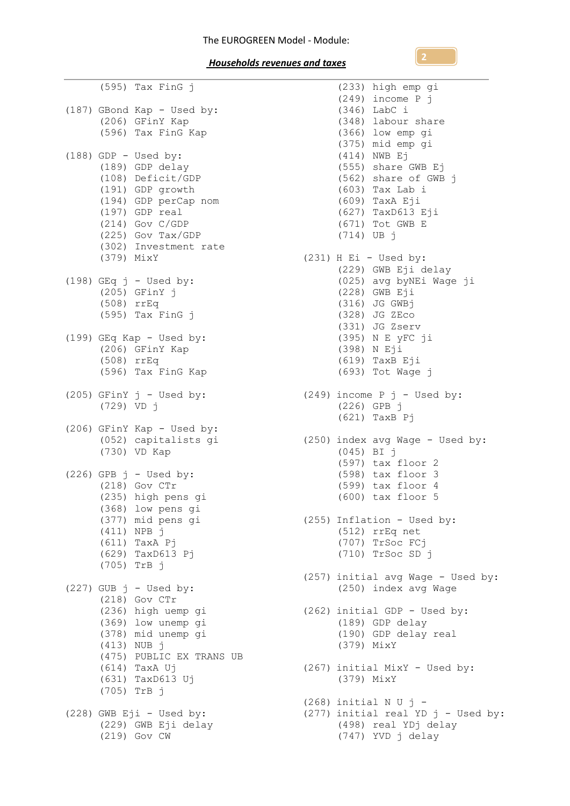(595) Tax FinG j (187) GBond Kap - Used by: (206) GFinY Kap (596) Tax FinG Kap  $(188)$  GDP - Used by: (189) GDP delay (108) Deficit/GDP (191) GDP growth (194) GDP perCap nom (197) GDP real (214) Gov C/GDP (225) Gov Tax/GDP (302) Investment rate (379) MixY (198) GEq  $j$  - Used by: (205) GFinY j (508) rrEq (595) Tax FinG j (199) GEq Kap - Used by: (206) GFinY Kap (508) rrEq (596) Tax FinG Kap (205) GFinY  $j$  - Used by: (729) VD j (206) GFinY Kap - Used by: GFINY Kap - Used by:<br>(052) capitalists gi<br>(730) VD Kar (730) VD Kap  $(226)$  GPB  $j$  - Used by: (218) Gov CTr (235) high pens gi (368) low pens gi (377) mid pens gi (411) NPB j (611) TaxA Pj (629) TaxD613 Pj (705) TrB j  $(227)$  GUB  $j$  - Used by: (218) Gov CTr (236) high uemp gi (369) low unemp gi (378) mid unemp gi (413) NUB j (475) PUBLIC EX TRANS UB (614) TaxA Uj (631) TaxD613 Uj (705) TrB j  $(228)$  GWB Eji - Used by: (229) GWB Eji delay (219) Gov CW

(233) high emp gi (249) income P j (346) LabC i (348) labour share (366) low emp gi (375) mid emp gi (414) NWB Ej (555) share GWB Ej (562) share of GWB j (603) Tax Lab i (609) TaxA Eji (627) TaxD613 Eji (671) Tot GWB E (714) UB j (231) H Ei - Used by: (229) GWB Eji delay (025) avg byNEi Wage ji (228) GWB Eji (316) JG GWBj (328) JG ZEco (331) JG Zserv (395) N E yFC ji (398) N Eji (619) TaxB Eji (693) Tot Wage j  $(249)$  income P j - Used by: (226) GPB j (621) TaxB Pj (250) index avg Wage - Used by: (045) BI j (597) tax floor 2 (598) tax floor 3 (599) tax floor 4 (600) tax floor 5 (255) Inflation - Used by: (512) rrEq net (707) TrSoc FCj (710) TrSoc SD j (257) initial avg Wage - Used by: (250) index avg Wage (262) initial GDP - Used by: (189) GDP delay (190) GDP delay real (379) MixY (267) initial MixY - Used by: (379) MixY (268) initial N U j - (277) initial real YD  $j$  - Used by: (498) real YDj delay (747) YVD j delay

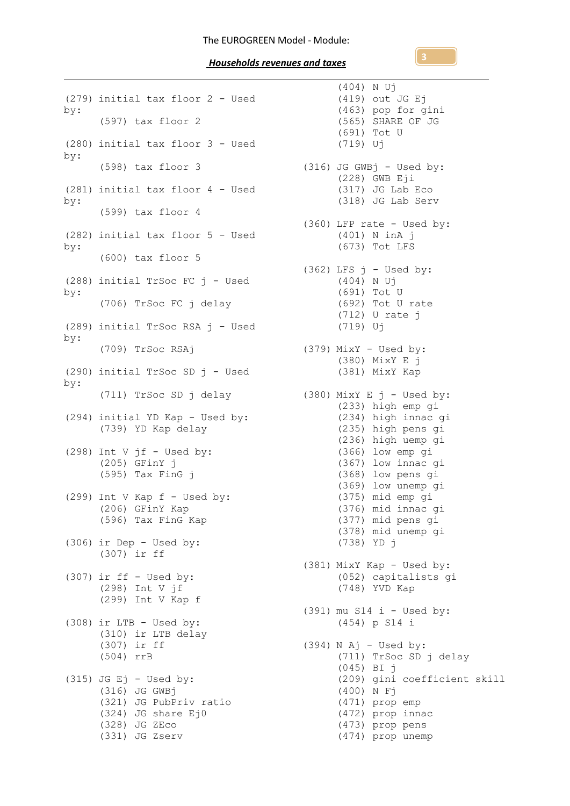(279) initial tax floor 2 - Used by: (597) tax floor 2 (280) initial tax floor 3 - Used by: (598) tax floor 3 (281) initial tax floor 4 - Used by: (599) tax floor 4 (282) initial tax floor 5 - Used by: (600) tax floor 5 (288) initial TrSoc FC j - Used by: (706) TrSoc FC j delay (289) initial TrSoc RSA j - Used by: (709) TrSoc RSAj (290) initial TrSoc SD j - Used by: (711) TrSoc SD j delay (380) MixY E j - Used by: (294) initial YD Kap - Used by: (739) YD Kap delay (298) Int V  $jf$  - Used by: (205) GFinY j (595) Tax FinG j (299) Int V Kap  $f -$  Used by: (206) GFinY Kap  $(596)$  Jimi  $\frac{10}{10}$  Kap (306) ir Dep - Used by: (307) ir ff (307) ir ff - Used by: (298) Int V jf (299) Int V Kap f  $(308)$  ir LTB - Used by: (310) ir LTB delay (307) ir ff (504) rrB  $(315)$  JG Ej - Used by: (316) JG GWBj (321) JG PubPriv ratio (324) JG share Ej0 (328) JG ZEco (331) JG Zserv

(404) N Uj (419) out JG Ej (463) pop for gini (565) SHARE OF JG (691) Tot U (719) Uj (316) JG GWBj - Used by: (228) GWB Eji (317) JG Lab Eco (318) JG Lab Serv (360) LFP rate - Used by: (401) N inA j (673) Tot LFS  $(362)$  LFS  $j$  - Used by: (404) N Uj (691) Tot U (692) Tot U rate (712) U rate j (719) Uj (379) MixY - Used by: (380) MixY E j (381) MixY Kap (233) high emp gi (234) high innac gi (235) high pens gi (236) high uemp gi (366) low emp gi (367) low innac gi (368) low pens gi (369) low unemp gi (375) mid emp gi (376) mid innac gi (377) mid pens gi (378) mid unemp gi (738) YD j (381) MixY Kap - Used by: (052) capitalists gi (748) YVD Kap (391) mu S14 i - Used by: (454) p S14 i (394) N Aj - Used by: (711) TrSoc SD j delay (045) BI j (209) gini coefficient skill (400) N Fj (471) prop emp (472) prop innac (473) prop pens (474) prop unemp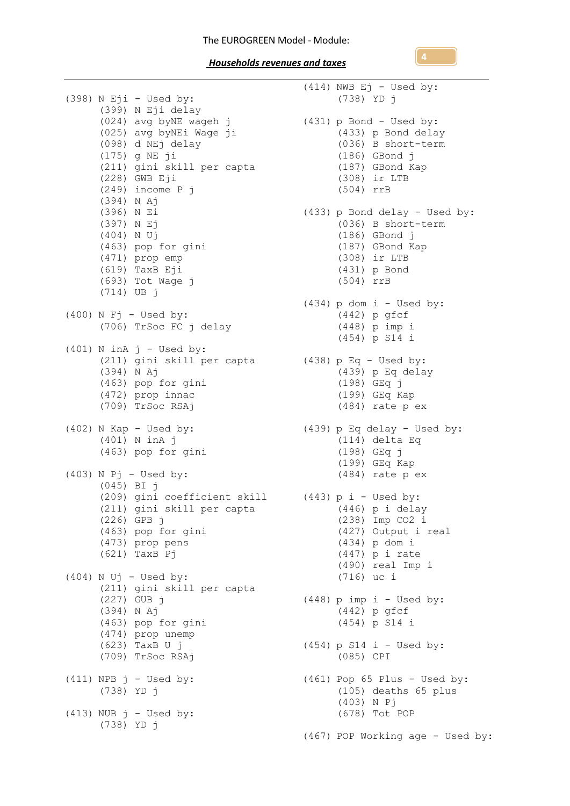## The EUROGREEN Model - Module:

 *Households revenues and taxes* 

(398) N Eji - Used by: (399) N Eji delay (024) avg byNE wageh j (025) avg byNEi Wage ji (098) d NEj delay (175) g NE ji (211) gini skill per capta (228) GWB Eji (249) income P j (394) N Aj (396) N Ei (397) N Ej (404) N Uj (463) pop for gini (471) prop emp (619) TaxB Eji (693) Tot Wage j (714) UB j (400) N Fj - Used by:  $(706)$  TrSoc FC j delay  $(401)$  N inA j - Used by: (211) gini skill per capta (394) N Aj (463) pop for gini (472) prop innac (709) TrSoc RSAj (402) N Kap - Used by: (401) N inA j (463) pop for gini (403) N Pj - Used by: (045) BI j (209) gini coefficient skill (443) p i - Used by: (211) gini skill per capta (226) GPB j (463) pop for gini (473) prop pens (621) TaxB Pj  $(404)$  N Uj - Used by: (211) gini skill per capta (227) GUB j (394) N Aj (463) pop for gini (474) prop unemp (623) TaxB U j (709) TrSoc RSAj  $(411)$  NPB  $j$  - Used by: (738) YD j  $(413)$  NUB  $j$  - Used by: (738) YD j

(414) NWB Ej - Used by: (738) YD j (431) p Bond - Used by: (433) p Bond delay (036) B short-term (186) GBond j (187) GBond Kap (308) ir LTB (504) rrB (433) p Bond delay - Used by: (036) B short-term (186) GBond j (187) GBond Kap (308) ir LTB (431) p Bond (504) rrB  $(434)$  p dom  $i$  - Used by: (442) p gfcf (448) p imp i (454) p S14 i (438) p Eq - Used by: (439) p Eq delay (198) GEq j (199) GEq Kap (484) rate p ex (439) p Eq delay - Used by: (114) delta Eq (198) GEq j (199) GEq Kap (484) rate p ex (446) p i delay (238) Imp CO2 i (427) Output i real (434) p dom i (447) p i rate (490) real Imp i (716) uc i (448) p imp i - Used by: (442) p gfcf (454) p S14 i  $(454)$  p S14 i - Used by: (085) CPI (461) Pop 65 Plus - Used by: (105) deaths 65 plus (403) N Pj (678) Tot POP (467) POP Working age - Used by:

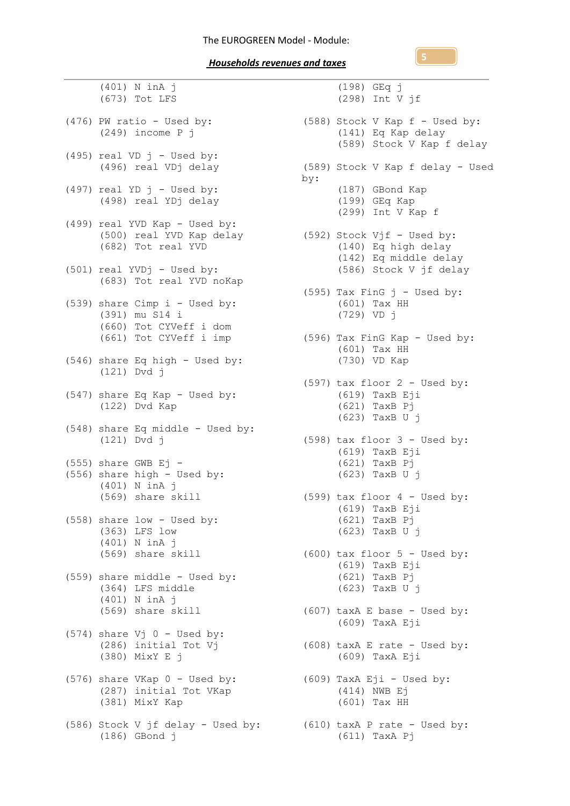(401) N inA j (673) Tot LFS  $(476)$  PW ratio - Used by: (249) income P j  $(495)$  real VD  $j$  - Used by: (496) real VDj delay (497) real YD  $j$  - Used by: (498) real YDj delay (499) real YVD Kap - Used by: (500) real YVD Kap delay (682) Tot real YVD (501) real YVDj - Used by: (683) Tot real YVD noKap (539) share Cimp i - Used by: (391) mu S14 i (660) Tot CYVeff i dom (546) share Eq high - Used by: (121) Dvd j (547) share Eq Kap - Used by: (122) Dvd Kap (548) share Eq middle - Used by: (121) Dvd j  $(555)$  share GWB Ej - $(556)$  share high - Used by: (401) N inA j (569) share skill (558) share low - Used by: (363) LFS low (401) N inA j (559) share middle - Used by: (364) LFS middle (401) N inA j (569) share skill (574) share  $Vj$  0 - Used by: (286) initial Tot Vj (380) MixY E j (576) share VKap 0 - Used by: (287) initial Tot VKap (381) MixY Kap (586) Stock V jf delay - Used by: (610) taxA P rate - Used by: (186) GBond j

(661) Tot CYVeff i imp (596) Tax FinG Kap - Used by: (569) share skill (600) tax floor 5 - Used by: (198) GEq j (298) Int V jf (588) Stock V Kap f - Used by: (141) Eq Kap delay (589) Stock V Kap f delay (589) Stock V Kap f delay - Used by: (187) GBond Kap (199) GEq Kap (299) Int V Kap f (592) Stock Vjf - Used by: (140) Eq high delay (142) Eq middle delay (586) Stock V jf delay (595) Tax FinG  $j$  - Used by: (601) Tax HH (729) VD j (601) Tax HH (730) VD Kap  $(597)$  tax floor  $2 -$  Used by: (619) TaxB Eji (621) TaxB Pj (623) TaxB U j (598) tax floor 3 - Used by: (619) TaxB Eji (621) TaxB Pj (623) TaxB U j (599) tax floor 4 - Used by:  $(619)$  TaxB Eji (621) TaxB Pj (623) TaxB U j (619) TaxB Eji (621) TaxB Pj (623) TaxB U j (607) taxA E base - Used by: (609) TaxA Eji (608) taxA E rate - Used by: (609) TaxA Eji (609) TaxA Eji - Used by: (414) NWB Ej (601) Tax HH (611) TaxA Pj

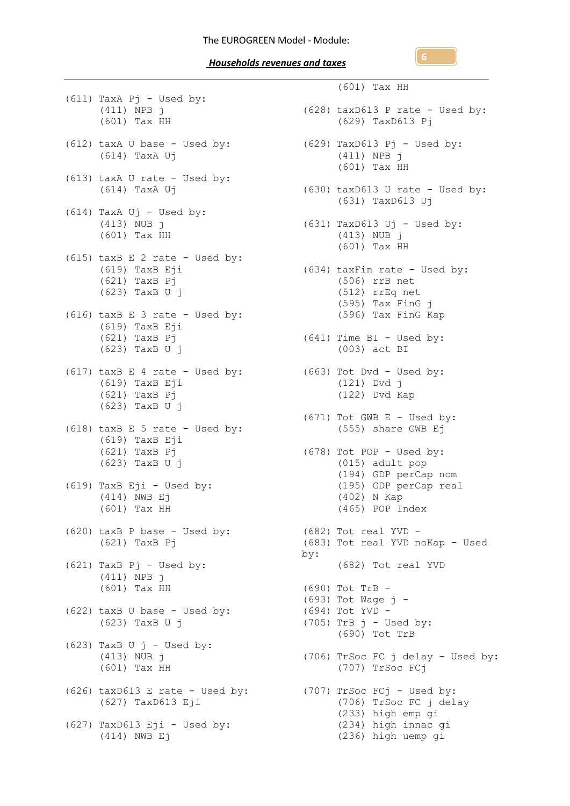(611) TaxA Pj - Used by: (411) NPB j (601) Tax HH (612) taxA U base - Used by: (629) TaxD613 Pj - Used by: (614) TaxA Uj (613) taxA U rate - Used by: (614) TaxA Uj  $(614)$  TaxA Uj - Used by: (413) NUB j (601) Tax HH (615) taxB E 2 rate - Used by: (619) TaxB Eji (621) TaxB Pj (623) TaxB U j (616) taxB E 3 rate - Used by: (619) TaxB Eji (621) TaxB Pj (623) TaxB U j (617) taxB E 4 rate - Used by: (663) Tot Dvd - Used by: (619) TaxB Eji (621) TaxB Pj (623) TaxB U j (618)  $\text{taxB} \to 5 \text{ rate} - \text{Use} \text{ by:}$ (619) TaxB Eji (621) TaxB Pj (623) TaxB U j (619) TaxB Eji - Used by: (414) NWB Ej (601) Tax HH (620) taxB P base - Used by: (682) Tot real YVD - (621) TaxB Pj (621) TaxB Pj - Used by: (411) NPB j (601) Tax HH (622) taxB U base - Used by: (623) TaxB U j  $(623)$  TaxB U j - Used by: (413) NUB j (601) Tax HH (626) taxD613 E rate - Used by: (707) TrSoc FCj - Used by: (627) TaxD613 Eji (627) TaxD613 Eji - Used by:<br>(414) NEWD E-(414) NWB Ej

(601) Tax HH (628) taxD613 P rate - Used by: (629) TaxD613 Pj (411) NPB j (601) Tax HH  $(630)$  taxD613 U rate - Used by: (631) TaxD613 Uj (631) TaxD613 Uj - Used by: (413) NUB j (601) Tax HH (634) taxFin rate - Used by: (506) rrB net (512) rrEq net (595) Tax FinG j (596) Tax FinG Kap (641) Time BI - Used by: (003) act BI (121) Dvd j (122) Dvd Kap  $(671)$  Tot GWB E - Used by: (555) share GWB Ej (678) Tot POP - Used by: (015) adult pop (194) GDP perCap nom (195) GDP perCap real (402) N Kap (465) POP Index (683) Tot real YVD noKap - Used by: (682) Tot real YVD (690) Tot TrB - (693) Tot Wage j - (694) Tot YVD -  $(705)$  TrB  $j$  - Used by: (690) Tot TrB (706) TrSoc FC j delay - Used by: (707) TrSoc FCj (706) TrSoc FC j delay (233) high emp gi (234) high innac gi (236) high uemp gi